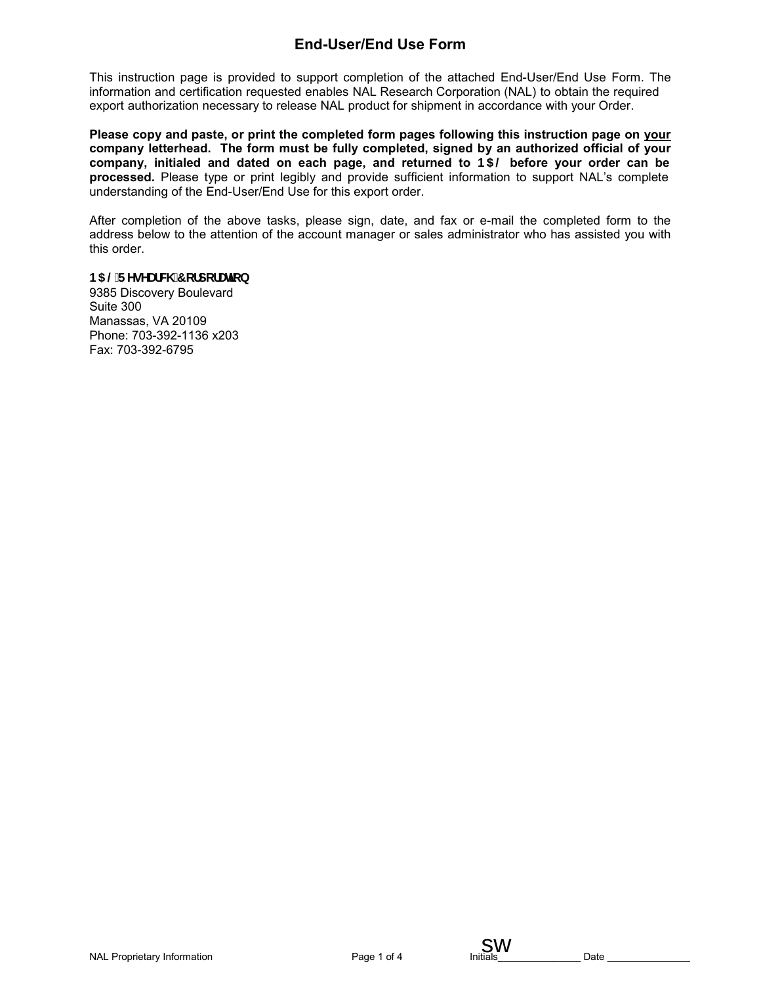# **End-User/End Use Form**

This instruction page is provided to support completion of the attached End-User/End Use Form. The information and certification requested enables NAL Research Corporation (NAL) to obtain the required export authorization necessary to release NAL product for shipment in accordance with your Order.

**Please copy and paste, or print the completed form pages following this instruction page on your company letterhead. The form must be fully completed, signed by an authorized official of your company, initialed and dated on each page, and returned to 1\$/ before your order can be processed.** Please type or print legibly and provide sufficient information to support NAL's complete understanding of the End-User/End Use for this export order.

After completion of the above tasks, please sign, date, and fax or e-mail the completed form to the address below to the attention of the account manager or sales administrator who has assisted you with this order.

#### **185 @FYgYUfW 7 cfdcfUlcb**

9385 Discovery Boulevard Suite 300 Manassas, VA 20109 Phone: 703-392-1136 x203 Fax: 703-392-6795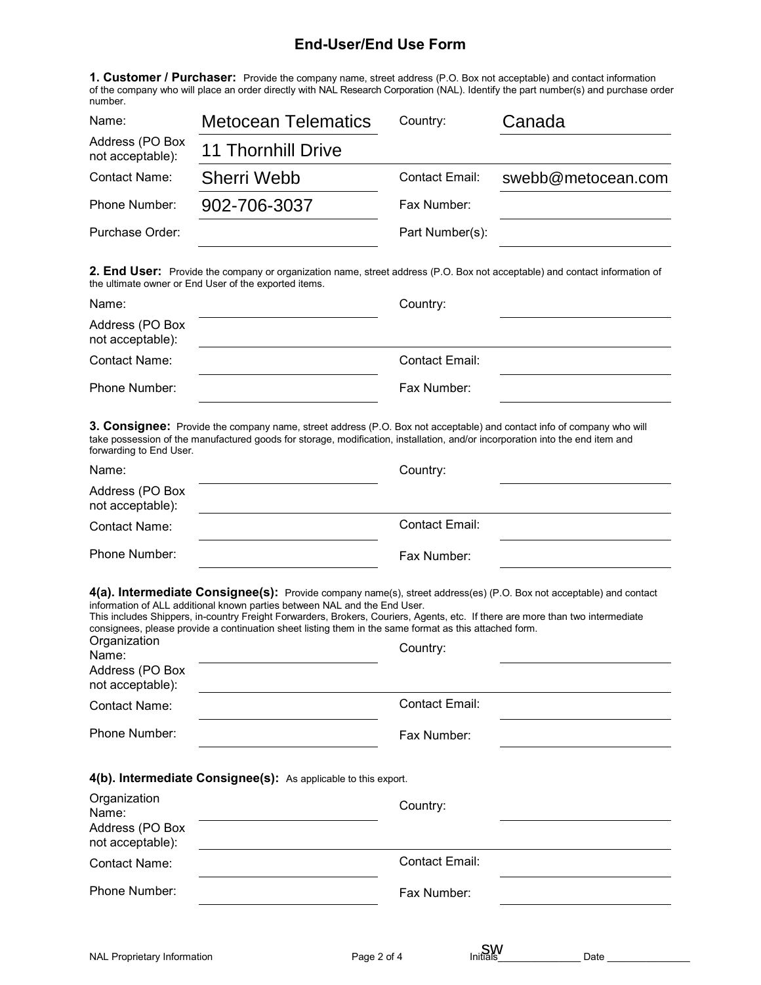## **End-User/End Use Form**

**1. Customer / Purchaser:** Provide the company name, street address (P.O. Box not acceptable) and contact information of the company who will place an order directly with NAL Research Corporation (NAL). Identify the part number(s) and purchase order number.

| Name:                               | <b>Metocean Telematics</b> | Country:        | Canada             |
|-------------------------------------|----------------------------|-----------------|--------------------|
| Address (PO Box<br>not acceptable): | <b>11 Thornhill Drive</b>  |                 |                    |
| <b>Contact Name:</b>                | <b>Sherri Webb</b>         | Contact Email:  | swebb@metocean.com |
| Phone Number:                       | 902-706-3037               | Fax Number:     |                    |
| Purchase Order:                     |                            | Part Number(s): |                    |
|                                     |                            |                 |                    |

**2. End User:** Provide the company or organization name, street address (P.O. Box not acceptable) and contact information of the ultimate owner or End User of the exported items.

| Name:                               | Country:       |
|-------------------------------------|----------------|
| Address (PO Box<br>not acceptable): |                |
| Contact Name:                       | Contact Email: |
| Phone Number:                       | Fax Number:    |

**3. Consignee:** Provide the company name, street address (P.O. Box not acceptable) and contact info of company who will take possession of the manufactured goods for storage, modification, installation, and/or incorporation into the end item and forwarding to End User.

| Name:                               | Country:       |  |
|-------------------------------------|----------------|--|
| Address (PO Box<br>not acceptable): |                |  |
| Contact Name:                       | Contact Email: |  |
| Phone Number:                       | Fax Number:    |  |

**4(a). Intermediate Consignee(s):** Provide company name(s), street address(es) (P.O. Box not acceptable) and contact information of ALL additional known parties between NAL and the End User.

| Organization<br>Name:<br>Address (PO Box<br>not acceptable): | This includes Shippers, in-country Freight Forwarders, Brokers, Couriers, Agents, etc. If there are more than two intermediate<br>consignees, please provide a continuation sheet listing them in the same format as this attached form.<br>Country: |
|--------------------------------------------------------------|------------------------------------------------------------------------------------------------------------------------------------------------------------------------------------------------------------------------------------------------------|
| <b>Contact Name:</b>                                         | Contact Email:                                                                                                                                                                                                                                       |
| Phone Number:                                                | Fax Number:                                                                                                                                                                                                                                          |
| Organization<br>Name:<br>Address (PO Box<br>not acceptable): | 4(b). Intermediate Consignee(s): As applicable to this export.<br>Country:                                                                                                                                                                           |
| <b>Contact Name:</b>                                         | <b>Contact Email:</b>                                                                                                                                                                                                                                |
| Phone Number:                                                | Fax Number:                                                                                                                                                                                                                                          |
|                                                              |                                                                                                                                                                                                                                                      |

**SW**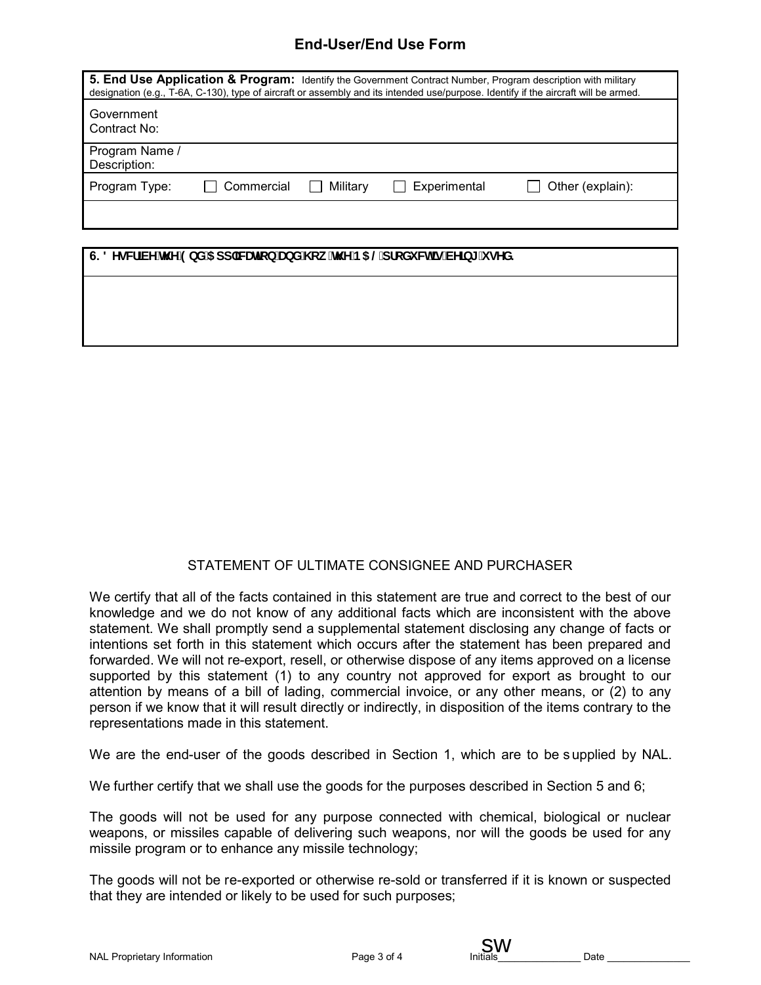## **End-User/End Use Form**

|                                |          |              | 5. End Use Application & Program: Identify the Government Contract Number, Program description with military<br>designation (e.g., T-6A, C-130), type of aircraft or assembly and its intended use/purpose. Identify if the aircraft will be armed. |
|--------------------------------|----------|--------------|-----------------------------------------------------------------------------------------------------------------------------------------------------------------------------------------------------------------------------------------------------|
| Government<br>Contract No:     |          |              |                                                                                                                                                                                                                                                     |
| Program Name /<br>Description: |          |              |                                                                                                                                                                                                                                                     |
| Program Type:                  | Military | Experimental | Other (explain):                                                                                                                                                                                                                                    |
|                                |          |              |                                                                                                                                                                                                                                                     |

| 6. 8 YgW]VY`h Y`9bX`5 dd`]WUr]cb`UbX`\ ck `h Y`B5 @dfcXi Wh`]g`VY]b[ `i gYX. |  |  |
|------------------------------------------------------------------------------|--|--|
|                                                                              |  |  |
|                                                                              |  |  |
|                                                                              |  |  |

### STATEMENT OF ULTIMATE CONSIGNEE AND PURCHASER

We certify that all of the facts contained in this statement are true and correct to the best of our knowledge and we do not know of any additional facts which are inconsistent with the above statement. We shall promptly send a supplemental statement disclosing any change of facts or intentions set forth in this statement which occurs after the statement has been prepared and forwarded. We will not re-export, resell, or otherwise dispose of any items approved on a license supported by this statement (1) to any country not approved for export as brought to our attention by means of a bill of lading, commercial invoice, or any other means, or (2) to any person if we know that it will result directly or indirectly, in disposition of the items contrary to the representations made in this statement.

We are the end-user of the goods described in Section 1, which are to be s upplied by NAL.

We further certify that we shall use the goods for the purposes described in Section 5 and 6;

The goods will not be used for any purpose connected with chemical, biological or nuclear weapons, or missiles capable of delivering such weapons, nor will the goods be used for any missile program or to enhance any missile technology;

The goods will not be re-exported or otherwise re-sold or transferred if it is known or suspected that they are intended or likely to be used for such purposes;

sw